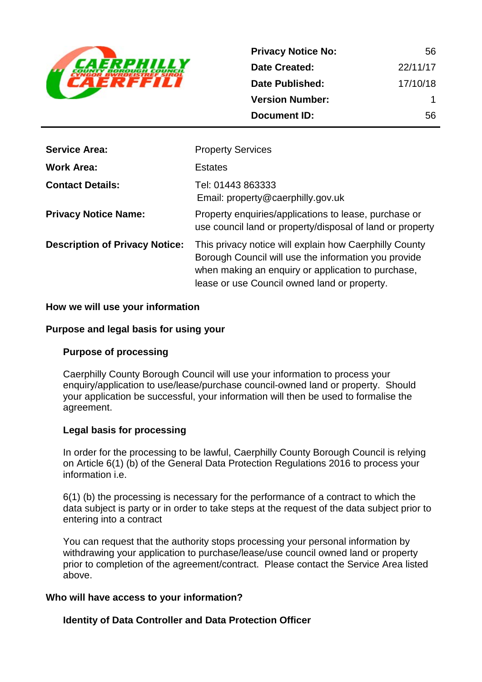

| <b>Privacy Notice No:</b> | 56       |
|---------------------------|----------|
| <b>Date Created:</b>      | 22/11/17 |
| Date Published:           | 17/10/18 |
| <b>Version Number:</b>    | 1        |
| <b>Document ID:</b>       | 56       |

| <b>Service Area:</b>                  | <b>Property Services</b>                                                                                                                                                                                             |
|---------------------------------------|----------------------------------------------------------------------------------------------------------------------------------------------------------------------------------------------------------------------|
| <b>Work Area:</b>                     | <b>Estates</b>                                                                                                                                                                                                       |
| <b>Contact Details:</b>               | Tel: 01443 863333<br>Email: property@caerphilly.gov.uk                                                                                                                                                               |
| <b>Privacy Notice Name:</b>           | Property enquiries/applications to lease, purchase or<br>use council land or property/disposal of land or property                                                                                                   |
| <b>Description of Privacy Notice:</b> | This privacy notice will explain how Caerphilly County<br>Borough Council will use the information you provide<br>when making an enquiry or application to purchase,<br>lease or use Council owned land or property. |

### **How we will use your information**

### **Purpose and legal basis for using your**

### **Purpose of processing**

Caerphilly County Borough Council will use your information to process your enquiry/application to use/lease/purchase council-owned land or property. Should your application be successful, your information will then be used to formalise the agreement.

### **Legal basis for processing**

In order for the processing to be lawful, Caerphilly County Borough Council is relying on Article 6(1) (b) of the General Data Protection Regulations 2016 to process your information i.e.

6(1) (b) the processing is necessary for the performance of a contract to which the data subject is party or in order to take steps at the request of the data subject prior to entering into a contract

You can request that the authority stops processing your personal information by withdrawing your application to purchase/lease/use council owned land or property prior to completion of the agreement/contract. Please contact the Service Area listed above.

### **Who will have access to your information?**

### **Identity of Data Controller and Data Protection Officer**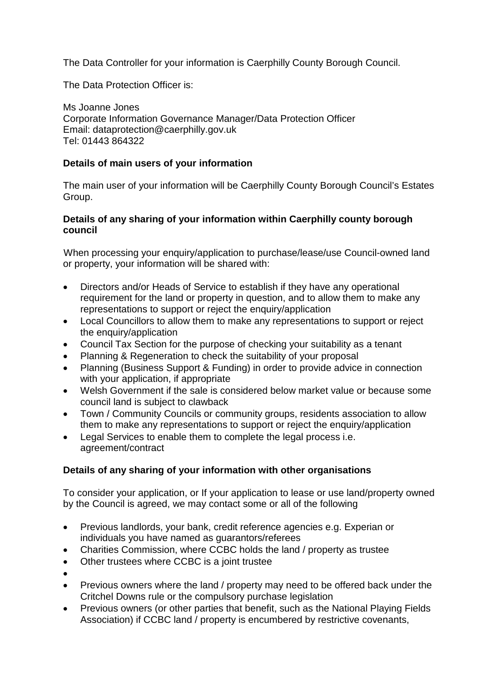The Data Controller for your information is Caerphilly County Borough Council.

The Data Protection Officer is:

Ms Joanne Jones Corporate Information Governance Manager/Data Protection Officer Email: dataprotection@caerphilly.gov.uk Tel: 01443 864322

# **Details of main users of your information**

The main user of your information will be Caerphilly County Borough Council's Estates Group.

## **Details of any sharing of your information within Caerphilly county borough council**

When processing your enquiry/application to purchase/lease/use Council-owned land or property, your information will be shared with:

- Directors and/or Heads of Service to establish if they have any operational requirement for the land or property in question, and to allow them to make any representations to support or reject the enquiry/application
- Local Councillors to allow them to make any representations to support or reject the enquiry/application
- Council Tax Section for the purpose of checking your suitability as a tenant
- Planning & Regeneration to check the suitability of your proposal
- Planning (Business Support & Funding) in order to provide advice in connection with your application, if appropriate
- Welsh Government if the sale is considered below market value or because some council land is subject to clawback
- Town / Community Councils or community groups, residents association to allow them to make any representations to support or reject the enquiry/application
- Legal Services to enable them to complete the legal process i.e. agreement/contract

# **Details of any sharing of your information with other organisations**

To consider your application, or If your application to lease or use land/property owned by the Council is agreed, we may contact some or all of the following

- Previous landlords, your bank, credit reference agencies e.g. Experian or individuals you have named as guarantors/referees
- Charities Commission, where CCBC holds the land / property as trustee
- Other trustees where CCBC is a joint trustee
- •
- Previous owners where the land / property may need to be offered back under the Critchel Downs rule or the compulsory purchase legislation
- Previous owners (or other parties that benefit, such as the National Playing Fields Association) if CCBC land / property is encumbered by restrictive covenants,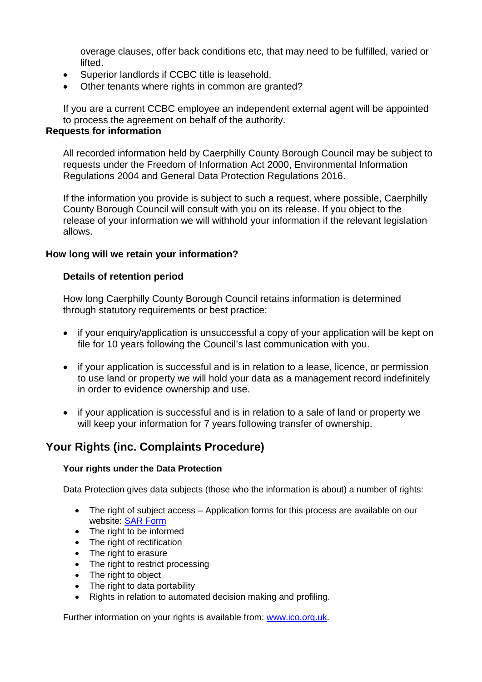overage clauses, offer back conditions etc, that may need to be fulfilled, varied or lifted.

- Superior landlords if CCBC title is leasehold.
- Other tenants where rights in common are granted?

If you are a current CCBC employee an independent external agent will be appointed to process the agreement on behalf of the authority.

# **Requests for information**

All recorded information held by Caerphilly County Borough Council may be subject to requests under the Freedom of Information Act 2000, Environmental Information Regulations 2004 and General Data Protection Regulations 2016.

If the information you provide is subject to such a request, where possible, Caerphilly County Borough Council will consult with you on its release. If you object to the release of your information we will withhold your information if the relevant legislation allows.

### **How long will we retain your information?**

### **Details of retention period**

How long Caerphilly County Borough Council retains information is determined through statutory requirements or best practice:

- if your enquiry/application is unsuccessful a copy of your application will be kept on file for 10 years following the Council's last communication with you.
- if your application is successful and is in relation to a lease, licence, or permission to use land or property we will hold your data as a management record indefinitely in order to evidence ownership and use.
- if your application is successful and is in relation to a sale of land or property we will keep your information for 7 years following transfer of ownership.

# **Your Rights (inc. Complaints Procedure)**

### **Your rights under the Data Protection**

Data Protection gives data subjects (those who the information is about) a number of rights:

- The right of subject access Application forms for this process are available on our website: [SAR Form](http://www.caerphilly.gov.uk/CaerphillyDocs/Council-and-democracy/sar_form.aspx)
- The right to be informed
- The right of rectification
- The right to erasure
- The right to restrict processing
- The right to object
- The right to data portability
- Rights in relation to automated decision making and profiling.

Further information on your rights is available from: [www.ico.org.uk.](http://www.ico.org.uk/)